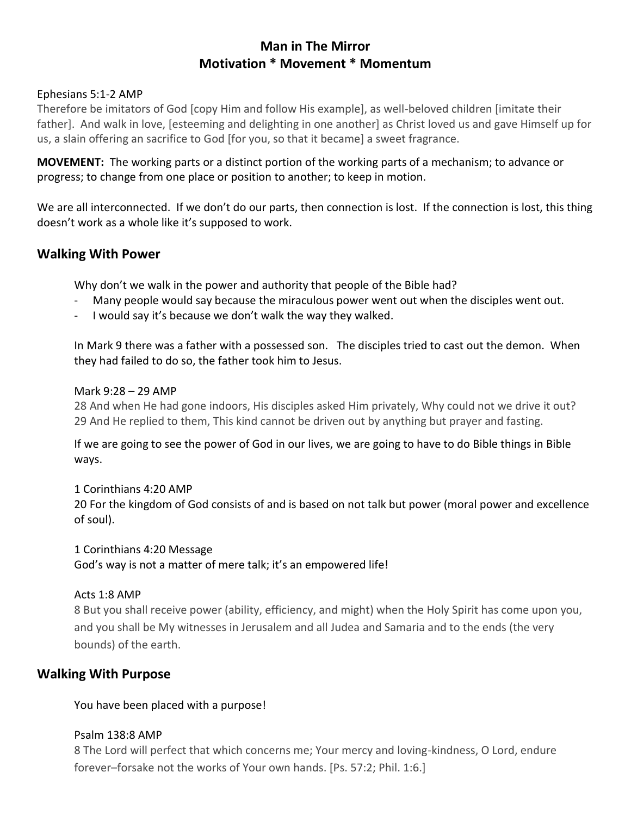# **Man in The Mirror Motivation \* Movement \* Momentum**

### Ephesians 5:1-2 AMP

Therefore be imitators of God [copy Him and follow His example], as well-beloved children [imitate their father]. And walk in love, [esteeming and delighting in one another] as Christ loved us and gave Himself up for us, a slain offering an sacrifice to God [for you, so that it became] a sweet fragrance.

**MOVEMENT:** The working parts or a distinct portion of the working parts of a mechanism; to advance or progress; to change from one place or position to another; to keep in motion.

We are all interconnected. If we don't do our parts, then connection is lost. If the connection is lost, this thing doesn't work as a whole like it's supposed to work.

## **Walking With Power**

Why don't we walk in the power and authority that people of the Bible had?

- Many people would say because the miraculous power went out when the disciples went out.
- I would say it's because we don't walk the way they walked.

In Mark 9 there was a father with a possessed son. The disciples tried to cast out the demon. When they had failed to do so, the father took him to Jesus.

### Mark 9:28 – 29 AMP

28 And when He had gone indoors, His disciples asked Him privately, Why could not we drive it out? 29 And He replied to them, This kind cannot be driven out by anything but prayer and fasting.

If we are going to see the power of God in our lives, we are going to have to do Bible things in Bible ways.

## 1 Corinthians 4:20 AMP

20 For the kingdom of God consists of and is based on not talk but power (moral power and excellence of soul).

### 1 Corinthians 4:20 Message

God's way is not a matter of mere talk; it's an empowered life!

## Acts 1:8 AMP

8 But you shall receive power (ability, efficiency, and might) when the Holy Spirit has come upon you, and you shall be My witnesses in Jerusalem and all Judea and Samaria and to the ends (the very bounds) of the earth.

## **Walking With Purpose**

You have been placed with a purpose!

## Psalm 138:8 AMP

8 The Lord will perfect that which concerns me; Your mercy and loving-kindness, O Lord, endure forever–forsake not the works of Your own hands. [Ps. 57:2; Phil. 1:6.]